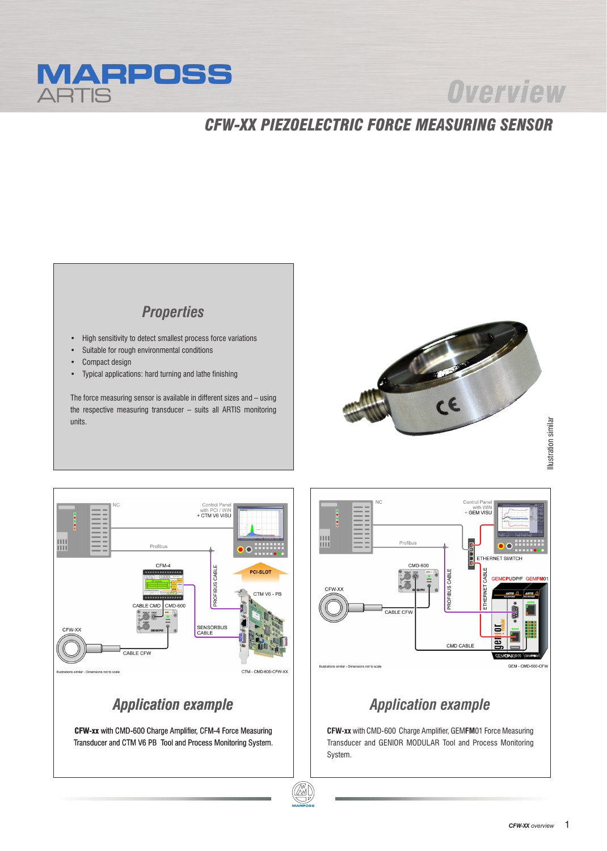

## **Overview**

## *CFW-XX PIEZOELECTRIC FORCE MEASURING SENSOR*



- High sensitivity to detect smallest process force variations
- Suitable for rough environmental conditions
- Compact design
- Typical applications: hard turning and lathe finishing

The force measuring sensor is available in different sizes and – using the respective measuring transducer – suits all ARTIS monitoring units.



**Illustration** similar



## *Application example*

**CFW-xx** with CMD-600 Charge Amplifier, CFM-4 Force Measuring Transducer and CTM V6 PB Tool and Process Monitoring System.



## *Application example*

**CFW-xx** with CMD-600 Charge Amplifier, GEM**FM**01 Force Measuring Transducer and GENIOR MODULAR Tool and Process Monitoring System.